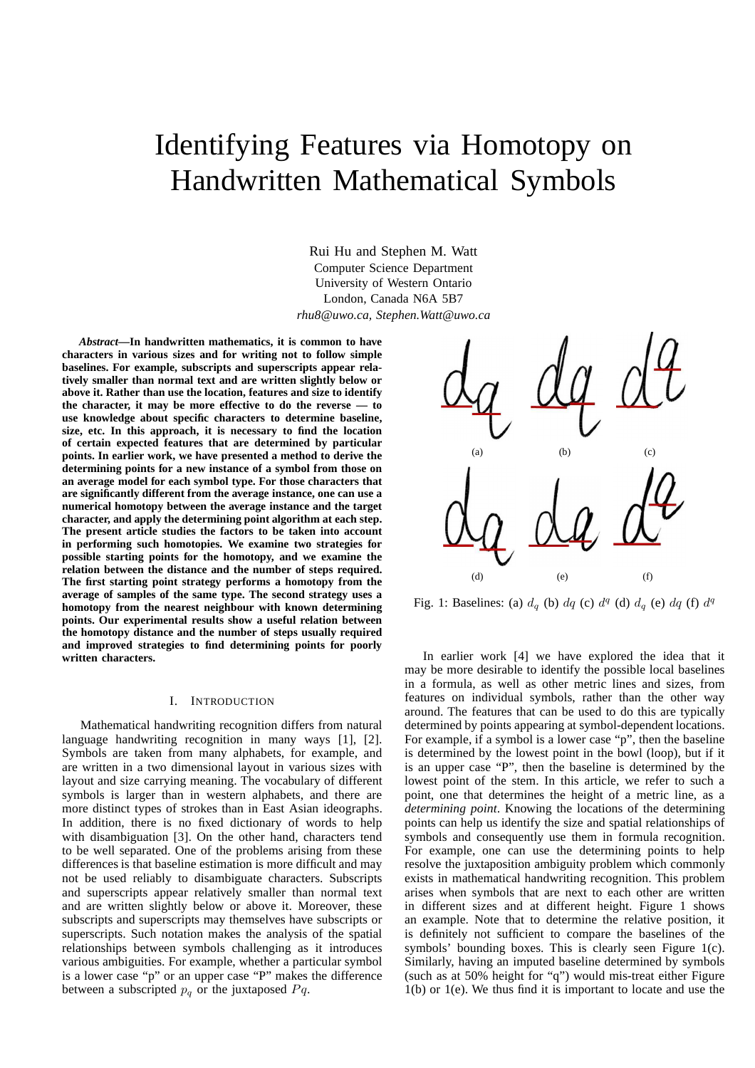# Identifying Features via Homotopy on Handwritten Mathematical Symbols

Rui Hu and Stephen M. Watt Computer Science Department University of Western Ontario London, Canada N6A 5B7 *rhu8@uwo.ca, Stephen.Watt@uwo.ca*

*Abstract***—In handwritten mathematics, it is common to have characters in various sizes and for writing not to follow simple baselines. For example, subscripts and superscripts appear relatively smaller than normal text and are written slightly below or above it. Rather than use the location, features and size to identify the character, it may be more effective to do the reverse — to use knowledge about specific characters to determine baseline, size, etc. In this approach, it is necessary to find the location of certain expected features that are determined by particular points. In earlier work, we have presented a method to derive the determining points for a new instance of a symbol from those on an average model for each symbol type. For those characters that are significantly different from the average instance, one can use a numerical homotopy between the average instance and the target character, and apply the determining point algorithm at each step. The present article studies the factors to be taken into account in performing such homotopies. We examine two strategies for possible starting points for the homotopy, and we examine the relation between the distance and the number of steps required. The first starting point strategy performs a homotopy from the average of samples of the same type. The second strategy uses a homotopy from the nearest neighbour with known determining points. Our experimental results show a useful relation between the homotopy distance and the number of steps usually required and improved strategies to find determining points for poorly written characters.**

## I. INTRODUCTION

Mathematical handwriting recognition differs from natural language handwriting recognition in many ways [1], [2]. Symbols are taken from many alphabets, for example, and are written in a two dimensional layout in various sizes with layout and size carrying meaning. The vocabulary of different symbols is larger than in western alphabets, and there are more distinct types of strokes than in East Asian ideographs. In addition, there is no fixed dictionary of words to help with disambiguation [3]. On the other hand, characters tend to be well separated. One of the problems arising from these differences is that baseline estimation is more difficult and may not be used reliably to disambiguate characters. Subscripts and superscripts appear relatively smaller than normal text and are written slightly below or above it. Moreover, these subscripts and superscripts may themselves have subscripts or superscripts. Such notation makes the analysis of the spatial relationships between symbols challenging as it introduces various ambiguities. For example, whether a particular symbol is a lower case "p" or an upper case "P" makes the difference between a subscripted  $p_q$  or the juxtaposed  $Pq$ .



Fig. 1: Baselines: (a)  $d_q$  (b)  $dq$  (c)  $d^q$  (d)  $d_q$  (e)  $dq$  (f)  $d^q$ 

In earlier work [4] we have explored the idea that it may be more desirable to identify the possible local baselines in a formula, as well as other metric lines and sizes, from features on individual symbols, rather than the other way around. The features that can be used to do this are typically determined by points appearing at symbol-dependent locations. For example, if a symbol is a lower case "p", then the baseline is determined by the lowest point in the bowl (loop), but if it is an upper case "P", then the baseline is determined by the lowest point of the stem. In this article, we refer to such a point, one that determines the height of a metric line, as a *determining point*. Knowing the locations of the determining points can help us identify the size and spatial relationships of symbols and consequently use them in formula recognition. For example, one can use the determining points to help resolve the juxtaposition ambiguity problem which commonly exists in mathematical handwriting recognition. This problem arises when symbols that are next to each other are written in different sizes and at different height. Figure 1 shows an example. Note that to determine the relative position, it is definitely not sufficient to compare the baselines of the symbols' bounding boxes. This is clearly seen Figure 1(c). Similarly, having an imputed baseline determined by symbols (such as at 50% height for "q") would mis-treat either Figure 1(b) or 1(e). We thus find it is important to locate and use the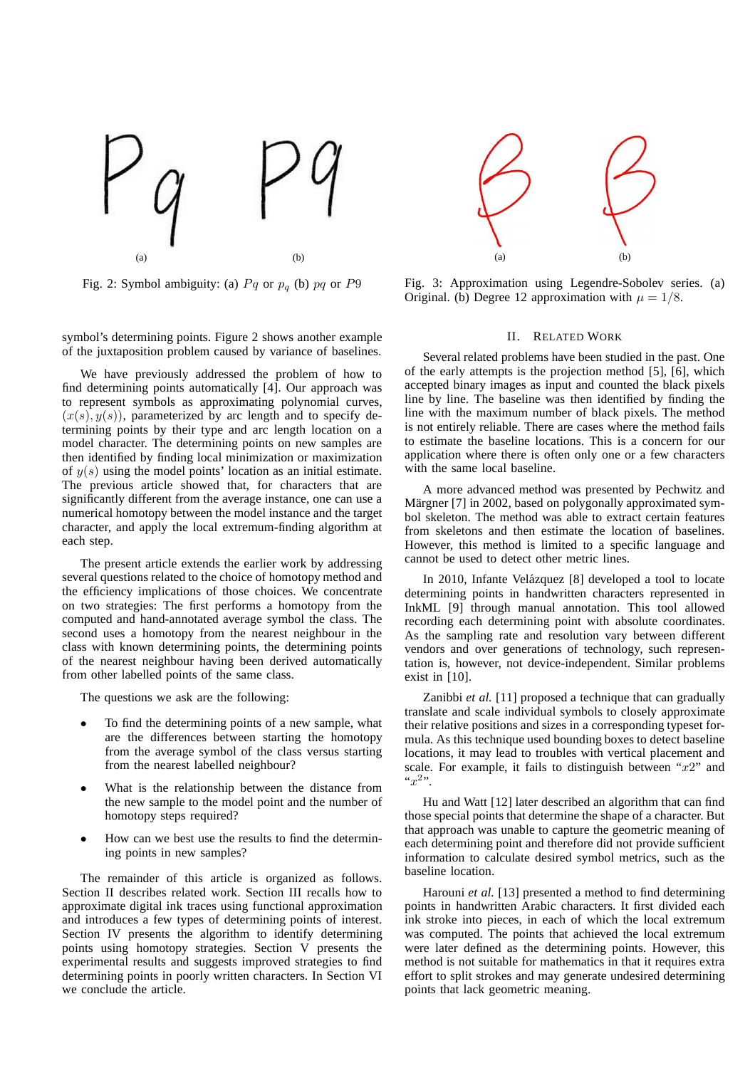

Fig. 2: Symbol ambiguity: (a)  $Pq$  or  $p_q$  (b)  $pq$  or  $P9$ 

symbol's determining points. Figure 2 shows another example of the juxtaposition problem caused by variance of baselines.

We have previously addressed the problem of how to find determining points automatically [4]. Our approach was to represent symbols as approximating polynomial curves,  $(x(s), y(s))$ , parameterized by arc length and to specify determining points by their type and arc length location on a model character. The determining points on new samples are then identified by finding local minimization or maximization of  $y(s)$  using the model points' location as an initial estimate. The previous article showed that, for characters that are significantly different from the average instance, one can use a numerical homotopy between the model instance and the target character, and apply the local extremum-finding algorithm at each step.

The present article extends the earlier work by addressing several questions related to the choice of homotopy method and the efficiency implications of those choices. We concentrate on two strategies: The first performs a homotopy from the computed and hand-annotated average symbol the class. The second uses a homotopy from the nearest neighbour in the class with known determining points, the determining points of the nearest neighbour having been derived automatically from other labelled points of the same class.

The questions we ask are the following:

- To find the determining points of a new sample, what are the differences between starting the homotopy from the average symbol of the class versus starting from the nearest labelled neighbour?
- What is the relationship between the distance from the new sample to the model point and the number of homotopy steps required?
- How can we best use the results to find the determining points in new samples?

The remainder of this article is organized as follows. Section II describes related work. Section III recalls how to approximate digital ink traces using functional approximation and introduces a few types of determining points of interest. Section IV presents the algorithm to identify determining points using homotopy strategies. Section V presents the experimental results and suggests improved strategies to find determining points in poorly written characters. In Section VI we conclude the article.



Fig. 3: Approximation using Legendre-Sobolev series. (a) Original. (b) Degree 12 approximation with  $\mu = 1/8$ .

## II. RELATED WORK

Several related problems have been studied in the past. One of the early attempts is the projection method [5], [6], which accepted binary images as input and counted the black pixels line by line. The baseline was then identified by finding the line with the maximum number of black pixels. The method is not entirely reliable. There are cases where the method fails to estimate the baseline locations. This is a concern for our application where there is often only one or a few characters with the same local baseline.

A more advanced method was presented by Pechwitz and Märgner [7] in 2002, based on polygonally approximated symbol skeleton. The method was able to extract certain features from skeletons and then estimate the location of baselines. However, this method is limited to a specific language and cannot be used to detect other metric lines.

In 2010, Infante Velázquez [8] developed a tool to locate determining points in handwritten characters represented in InkML [9] through manual annotation. This tool allowed recording each determining point with absolute coordinates. As the sampling rate and resolution vary between different vendors and over generations of technology, such representation is, however, not device-independent. Similar problems exist in [10].

Zanibbi *et al.* [11] proposed a technique that can gradually translate and scale individual symbols to closely approximate their relative positions and sizes in a corresponding typeset formula. As this technique used bounding boxes to detect baseline locations, it may lead to troubles with vertical placement and scale. For example, it fails to distinguish between " $x2$ " and " $x^2$ ".

Hu and Watt [12] later described an algorithm that can find those special points that determine the shape of a character. But that approach was unable to capture the geometric meaning of each determining point and therefore did not provide sufficient information to calculate desired symbol metrics, such as the baseline location.

Harouni *et al.* [13] presented a method to find determining points in handwritten Arabic characters. It first divided each ink stroke into pieces, in each of which the local extremum was computed. The points that achieved the local extremum were later defined as the determining points. However, this method is not suitable for mathematics in that it requires extra effort to split strokes and may generate undesired determining points that lack geometric meaning.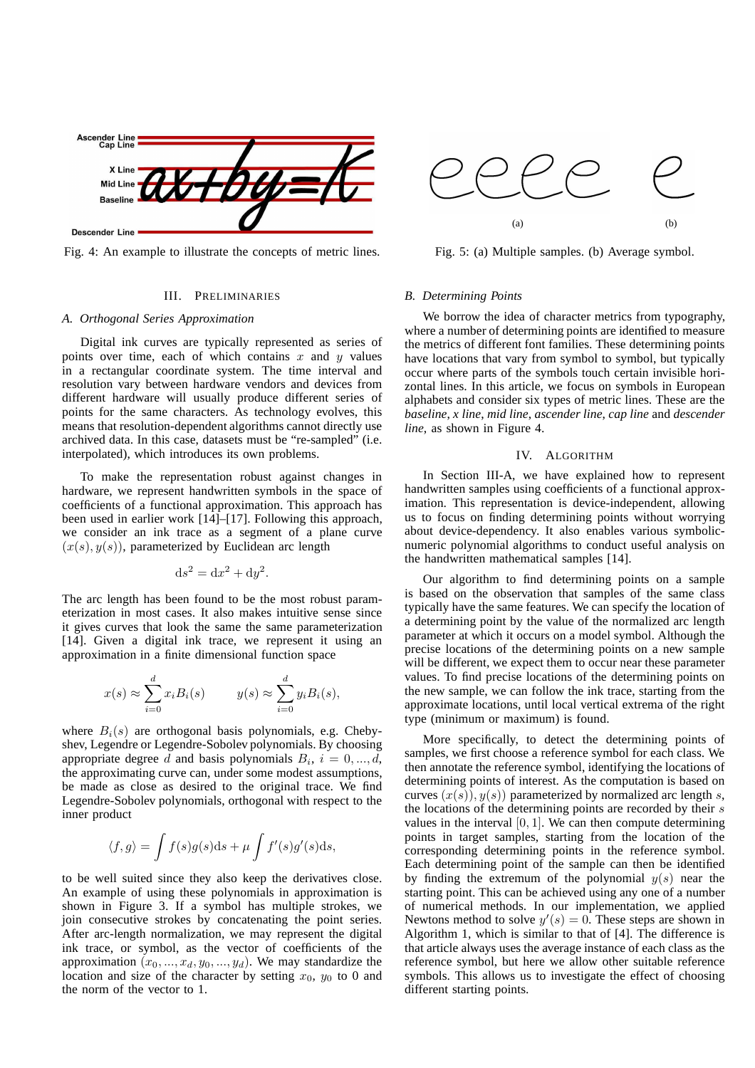

Fig. 4: An example to illustrate the concepts of metric lines.

### III. PRELIMINARIES

#### *A. Orthogonal Series Approximation*

Digital ink curves are typically represented as series of points over time, each of which contains  $x$  and  $y$  values in a rectangular coordinate system. The time interval and resolution vary between hardware vendors and devices from different hardware will usually produce different series of points for the same characters. As technology evolves, this means that resolution-dependent algorithms cannot directly use archived data. In this case, datasets must be "re-sampled" (i.e. interpolated), which introduces its own problems.

To make the representation robust against changes in hardware, we represent handwritten symbols in the space of coefficients of a functional approximation. This approach has been used in earlier work [14]–[17]. Following this approach, we consider an ink trace as a segment of a plane curve  $(x(s), y(s))$ , parameterized by Euclidean arc length

$$
ds^2 = dx^2 + dy^2.
$$

The arc length has been found to be the most robust parameterization in most cases. It also makes intuitive sense since it gives curves that look the same the same parameterization [14]. Given a digital ink trace, we represent it using an approximation in a finite dimensional function space

$$
x(s) \approx \sum_{i=0}^{d} x_i B_i(s) \qquad y(s) \approx \sum_{i=0}^{d} y_i B_i(s),
$$

where  $B_i(s)$  are orthogonal basis polynomials, e.g. Chebyshev, Legendre or Legendre-Sobolev polynomials. By choosing appropriate degree d and basis polynomials  $B_i$ ,  $i = 0, ..., d$ , the approximating curve can, under some modest assumptions, be made as close as desired to the original trace. We find Legendre-Sobolev polynomials, orthogonal with respect to the inner product

$$
\langle f, g \rangle = \int f(s)g(s)ds + \mu \int f'(s)g'(s)ds,
$$

to be well suited since they also keep the derivatives close. An example of using these polynomials in approximation is shown in Figure 3. If a symbol has multiple strokes, we join consecutive strokes by concatenating the point series. After arc-length normalization, we may represent the digital ink trace, or symbol, as the vector of coefficients of the approximation  $(x_0, ..., x_d, y_0, ..., y_d)$ . We may standardize the location and size of the character by setting  $x_0$ ,  $y_0$  to 0 and the norm of the vector to 1.



Fig. 5: (a) Multiple samples. (b) Average symbol.

## *B. Determining Points*

We borrow the idea of character metrics from typography, where a number of determining points are identified to measure the metrics of different font families. These determining points have locations that vary from symbol to symbol, but typically occur where parts of the symbols touch certain invisible horizontal lines. In this article, we focus on symbols in European alphabets and consider six types of metric lines. These are the *baseline*, *x line*, *mid line*, *ascender line*, *cap line* and *descender line*, as shown in Figure 4.

## IV. ALGORITHM

In Section III-A, we have explained how to represent handwritten samples using coefficients of a functional approximation. This representation is device-independent, allowing us to focus on finding determining points without worrying about device-dependency. It also enables various symbolicnumeric polynomial algorithms to conduct useful analysis on the handwritten mathematical samples [14].

Our algorithm to find determining points on a sample is based on the observation that samples of the same class typically have the same features. We can specify the location of a determining point by the value of the normalized arc length parameter at which it occurs on a model symbol. Although the precise locations of the determining points on a new sample will be different, we expect them to occur near these parameter values. To find precise locations of the determining points on the new sample, we can follow the ink trace, starting from the approximate locations, until local vertical extrema of the right type (minimum or maximum) is found.

More specifically, to detect the determining points of samples, we first choose a reference symbol for each class. We then annotate the reference symbol, identifying the locations of determining points of interest. As the computation is based on curves  $(x(s), y(s))$  parameterized by normalized arc length s, the locations of the determining points are recorded by their  $s$ values in the interval  $[0, 1]$ . We can then compute determining points in target samples, starting from the location of the corresponding determining points in the reference symbol. Each determining point of the sample can then be identified by finding the extremum of the polynomial  $y(s)$  near the starting point. This can be achieved using any one of a number of numerical methods. In our implementation, we applied Newtons method to solve  $y'(s) = 0$ . These steps are shown in Algorithm 1, which is similar to that of [4]. The difference is that article always uses the average instance of each class as the reference symbol, but here we allow other suitable reference symbols. This allows us to investigate the effect of choosing different starting points.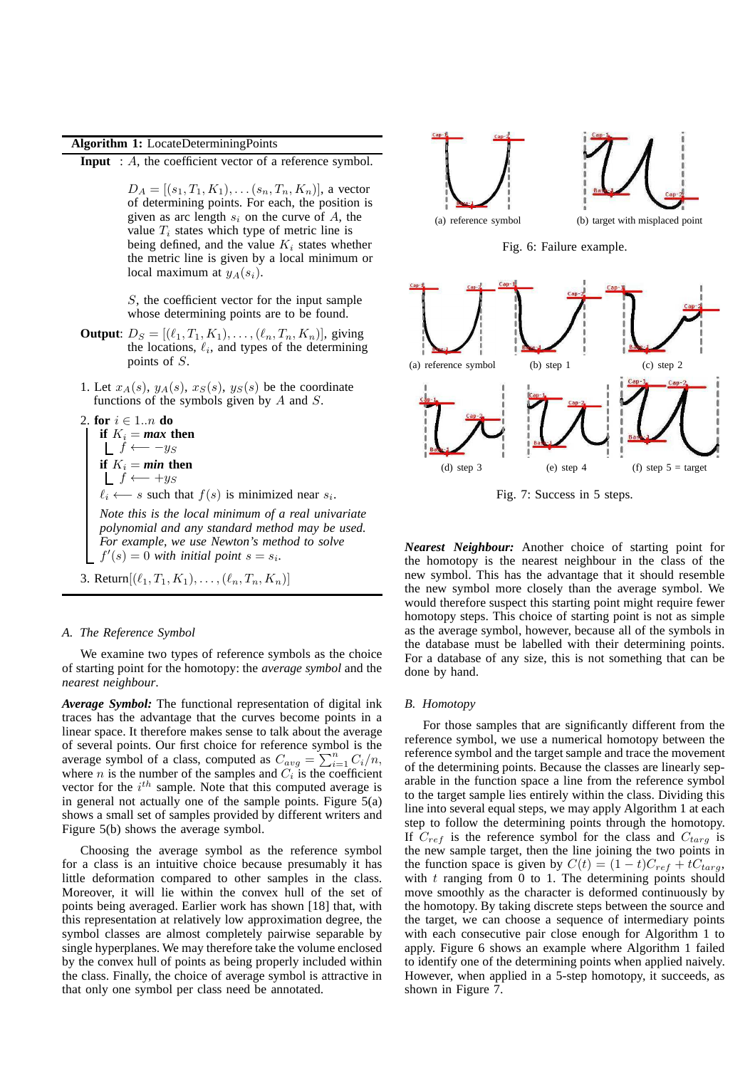# **Algorithm 1:** LocateDeterminingPoints

**Input** : A, the coefficient vector of a reference symbol.

 $D_A = [(s_1, T_1, K_1), \ldots (s_n, T_n, K_n)]$ , a vector of determining points. For each, the position is given as arc length  $s_i$  on the curve of A, the value  $T_i$  states which type of metric line is being defined, and the value  $K_i$  states whether the metric line is given by a local minimum or local maximum at  $y_A(s_i)$ .

S, the coefficient vector for the input sample whose determining points are to be found.

- **Output**:  $D_S = [(\ell_1, T_1, K_1), \ldots, (\ell_n, T_n, K_n)]$ , giving the locations,  $\ell_i$ , and types of the determining points of S.
- 1. Let  $x_A(s)$ ,  $y_A(s)$ ,  $x_S(s)$ ,  $y_S(s)$  be the coordinate functions of the symbols given by  $A$  and  $S$ .

```
2. for i \in 1..n do
```
**if**  $K_i = \text{max}$  **then**  $f \longleftarrow -y_S$ **if**  $K_i = min$  **then**  $f \leftarrow +y_S$ 

 $\ell_i \leftarrow s$  such that  $f(s)$  is minimized near  $s_i$ .

*Note this is the local minimum of a real univariate polynomial and any standard method may be used. For example, we use Newton's method to solve*  $f'(s) = 0$  with initial point  $s = s_i$ .

3. Return
$$
[(\ell_1, T_1, K_1), \ldots, (\ell_n, T_n, K_n)]
$$

## *A. The Reference Symbol*

We examine two types of reference symbols as the choice of starting point for the homotopy: the *average symbol* and the *nearest neighbour*.

*Average Symbol:* The functional representation of digital ink traces has the advantage that the curves become points in a linear space. It therefore makes sense to talk about the average of several points. Our first choice for reference symbol is the average symbol of a class, computed as  $C_{avg} = \sum_{i=1}^{n} C_i/n$ , where *n* is the number of the samples and  $C_i$  is the coefficient vector for the  $i^{th}$  sample. Note that this computed average is in general not actually one of the sample points. Figure  $5(a)$ shows a small set of samples provided by different writers and Figure 5(b) shows the average symbol.

Choosing the average symbol as the reference symbol for a class is an intuitive choice because presumably it has little deformation compared to other samples in the class. Moreover, it will lie within the convex hull of the set of points being averaged. Earlier work has shown [18] that, with this representation at relatively low approximation degree, the symbol classes are almost completely pairwise separable by single hyperplanes. We may therefore take the volume enclosed by the convex hull of points as being properly included within the class. Finally, the choice of average symbol is attractive in that only one symbol per class need be annotated.



Fig. 6: Failure example.



Fig. 7: Success in 5 steps.

*Nearest Neighbour:* Another choice of starting point for the homotopy is the nearest neighbour in the class of the new symbol. This has the advantage that it should resemble the new symbol more closely than the average symbol. We would therefore suspect this starting point might require fewer homotopy steps. This choice of starting point is not as simple as the average symbol, however, because all of the symbols in the database must be labelled with their determining points. For a database of any size, this is not something that can be done by hand.

## *B. Homotopy*

For those samples that are significantly different from the reference symbol, we use a numerical homotopy between the reference symbol and the target sample and trace the movement of the determining points. Because the classes are linearly separable in the function space a line from the reference symbol to the target sample lies entirely within the class. Dividing this line into several equal steps, we may apply Algorithm 1 at each step to follow the determining points through the homotopy. If  $C_{ref}$  is the reference symbol for the class and  $C_{targ}$  is the new sample target, then the line joining the two points in the function space is given by  $C(t) = (1 - t)C_{ref} + tC_{targ}$ , with  $t$  ranging from 0 to 1. The determining points should move smoothly as the character is deformed continuously by the homotopy. By taking discrete steps between the source and the target, we can choose a sequence of intermediary points with each consecutive pair close enough for Algorithm 1 to apply. Figure 6 shows an example where Algorithm 1 failed to identify one of the determining points when applied naively. However, when applied in a 5-step homotopy, it succeeds, as shown in Figure 7.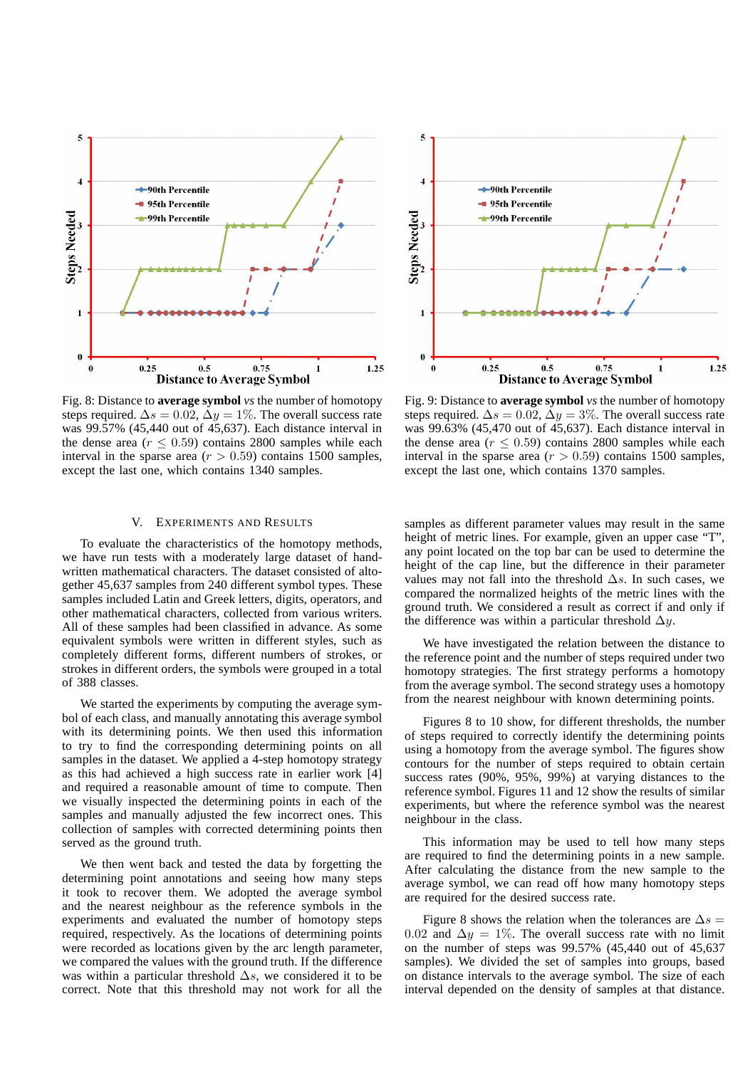

Fig. 8: Distance to **average symbol** *vs* the number of homotopy steps required.  $\Delta s = 0.02$ ,  $\Delta y = 1\%$ . The overall success rate was 99.57% (45,440 out of 45,637). Each distance interval in the dense area ( $r \leq 0.59$ ) contains 2800 samples while each interval in the sparse area ( $r > 0.59$ ) contains 1500 samples, except the last one, which contains 1340 samples.

## V. EXPERIMENTS AND RESULTS

To evaluate the characteristics of the homotopy methods, we have run tests with a moderately large dataset of handwritten mathematical characters. The dataset consisted of altogether 45,637 samples from 240 different symbol types. These samples included Latin and Greek letters, digits, operators, and other mathematical characters, collected from various writers. All of these samples had been classified in advance. As some equivalent symbols were written in different styles, such as completely different forms, different numbers of strokes, or strokes in different orders, the symbols were grouped in a total of 388 classes.

We started the experiments by computing the average symbol of each class, and manually annotating this average symbol with its determining points. We then used this information to try to find the corresponding determining points on all samples in the dataset. We applied a 4-step homotopy strategy as this had achieved a high success rate in earlier work [4] and required a reasonable amount of time to compute. Then we visually inspected the determining points in each of the samples and manually adjusted the few incorrect ones. This collection of samples with corrected determining points then served as the ground truth.

We then went back and tested the data by forgetting the determining point annotations and seeing how many steps it took to recover them. We adopted the average symbol and the nearest neighbour as the reference symbols in the experiments and evaluated the number of homotopy steps required, respectively. As the locations of determining points were recorded as locations given by the arc length parameter, we compared the values with the ground truth. If the difference was within a particular threshold  $\Delta s$ , we considered it to be correct. Note that this threshold may not work for all the



Fig. 9: Distance to **average symbol** *vs* the number of homotopy steps required.  $\Delta s = 0.02$ ,  $\Delta y = 3\%$ . The overall success rate was 99.63% (45,470 out of 45,637). Each distance interval in the dense area ( $r \leq 0.59$ ) contains 2800 samples while each interval in the sparse area  $(r > 0.59)$  contains 1500 samples, except the last one, which contains 1370 samples.

samples as different parameter values may result in the same height of metric lines. For example, given an upper case "T", any point located on the top bar can be used to determine the height of the cap line, but the difference in their parameter values may not fall into the threshold  $\Delta s$ . In such cases, we compared the normalized heights of the metric lines with the ground truth. We considered a result as correct if and only if the difference was within a particular threshold  $\Delta y$ .

We have investigated the relation between the distance to the reference point and the number of steps required under two homotopy strategies. The first strategy performs a homotopy from the average symbol. The second strategy uses a homotopy from the nearest neighbour with known determining points.

Figures 8 to 10 show, for different thresholds, the number of steps required to correctly identify the determining points using a homotopy from the average symbol. The figures show contours for the number of steps required to obtain certain success rates (90%, 95%, 99%) at varying distances to the reference symbol. Figures 11 and 12 show the results of similar experiments, but where the reference symbol was the nearest neighbour in the class.

This information may be used to tell how many steps are required to find the determining points in a new sample. After calculating the distance from the new sample to the average symbol, we can read off how many homotopy steps are required for the desired success rate.

Figure 8 shows the relation when the tolerances are  $\Delta s =$ 0.02 and  $\Delta y = 1\%$ . The overall success rate with no limit on the number of steps was 99.57% (45,440 out of 45,637 samples). We divided the set of samples into groups, based on distance intervals to the average symbol. The size of each interval depended on the density of samples at that distance.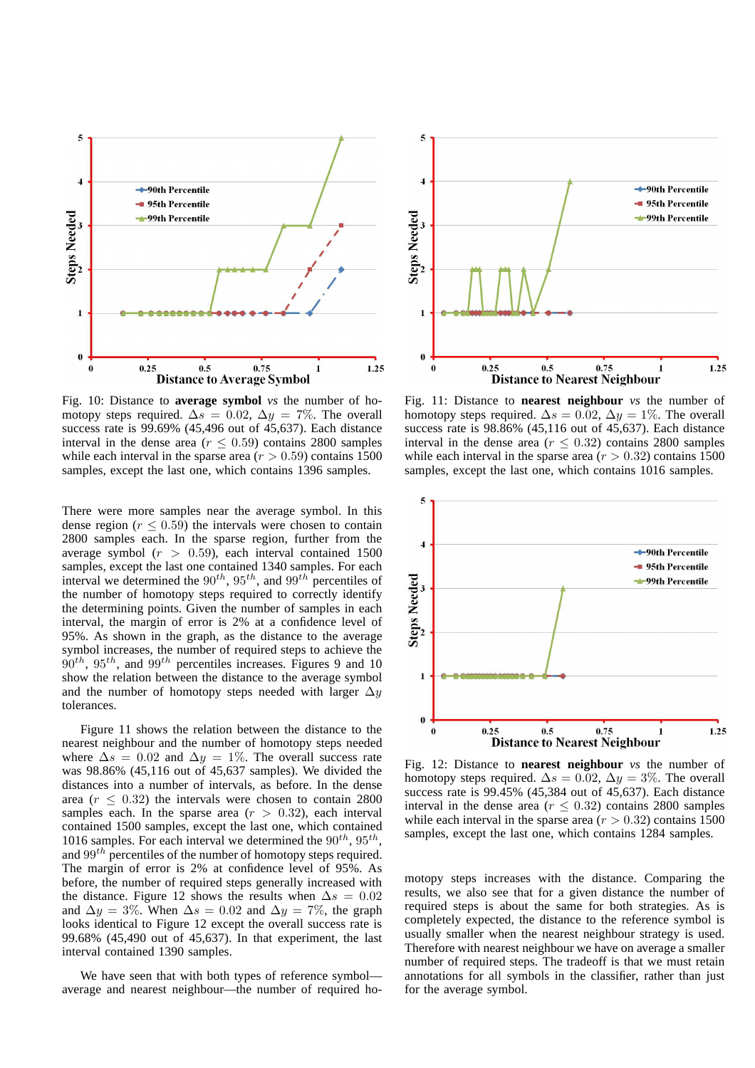

Fig. 10: Distance to **average symbol** *vs* the number of homotopy steps required.  $\Delta s = 0.02$ ,  $\Delta y = 7\%$ . The overall success rate is 99.69% (45,496 out of 45,637). Each distance interval in the dense area ( $r \leq 0.59$ ) contains 2800 samples while each interval in the sparse area  $(r > 0.59)$  contains 1500 samples, except the last one, which contains 1396 samples.

There were more samples near the average symbol. In this dense region ( $r \leq 0.59$ ) the intervals were chosen to contain 2800 samples each. In the sparse region, further from the average symbol  $(r > 0.59)$ , each interval contained 1500 samples, except the last one contained 1340 samples. For each interval we determined the  $90^{th}$ ,  $95^{th}$ , and  $99^{th}$  percentiles of the number of homotopy steps required to correctly identify the determining points. Given the number of samples in each interval, the margin of error is 2% at a confidence level of 95%. As shown in the graph, as the distance to the average symbol increases, the number of required steps to achieve the  $90^{th}$ ,  $95^{th}$ , and  $99^{th}$  percentiles increases. Figures 9 and 10 show the relation between the distance to the average symbol and the number of homotopy steps needed with larger  $\Delta y$ tolerances.

Figure 11 shows the relation between the distance to the nearest neighbour and the number of homotopy steps needed where  $\Delta s = 0.02$  and  $\Delta y = 1\%$ . The overall success rate was 98.86% (45,116 out of 45,637 samples). We divided the distances into a number of intervals, as before. In the dense area ( $r < 0.32$ ) the intervals were chosen to contain 2800 samples each. In the sparse area  $(r > 0.32)$ , each interval contained 1500 samples, except the last one, which contained 1016 samples. For each interval we determined the  $90^{th}$ ,  $95^{th}$ , and  $99<sup>th</sup>$  percentiles of the number of homotopy steps required. The margin of error is 2% at confidence level of 95%. As before, the number of required steps generally increased with the distance. Figure 12 shows the results when  $\Delta s = 0.02$ and  $\Delta y = 3\%$ . When  $\Delta s = 0.02$  and  $\Delta y = 7\%$ , the graph looks identical to Figure 12 except the overall success rate is 99.68% (45,490 out of 45,637). In that experiment, the last interval contained 1390 samples.

We have seen that with both types of reference symbol average and nearest neighbour—the number of required ho-



Fig. 11: Distance to **nearest neighbour** *vs* the number of homotopy steps required.  $\Delta s = 0.02$ ,  $\Delta y = 1\%$ . The overall success rate is 98.86% (45,116 out of 45,637). Each distance interval in the dense area ( $r \leq 0.32$ ) contains 2800 samples while each interval in the sparse area  $(r > 0.32)$  contains 1500 samples, except the last one, which contains 1016 samples.



Fig. 12: Distance to **nearest neighbour** *vs* the number of homotopy steps required.  $\Delta s = 0.02$ ,  $\Delta y = 3\%$ . The overall success rate is 99.45% (45,384 out of 45,637). Each distance interval in the dense area ( $r \leq 0.32$ ) contains 2800 samples while each interval in the sparse area  $(r > 0.32)$  contains 1500 samples, except the last one, which contains 1284 samples.

motopy steps increases with the distance. Comparing the results, we also see that for a given distance the number of required steps is about the same for both strategies. As is completely expected, the distance to the reference symbol is usually smaller when the nearest neighbour strategy is used. Therefore with nearest neighbour we have on average a smaller number of required steps. The tradeoff is that we must retain annotations for all symbols in the classifier, rather than just for the average symbol.